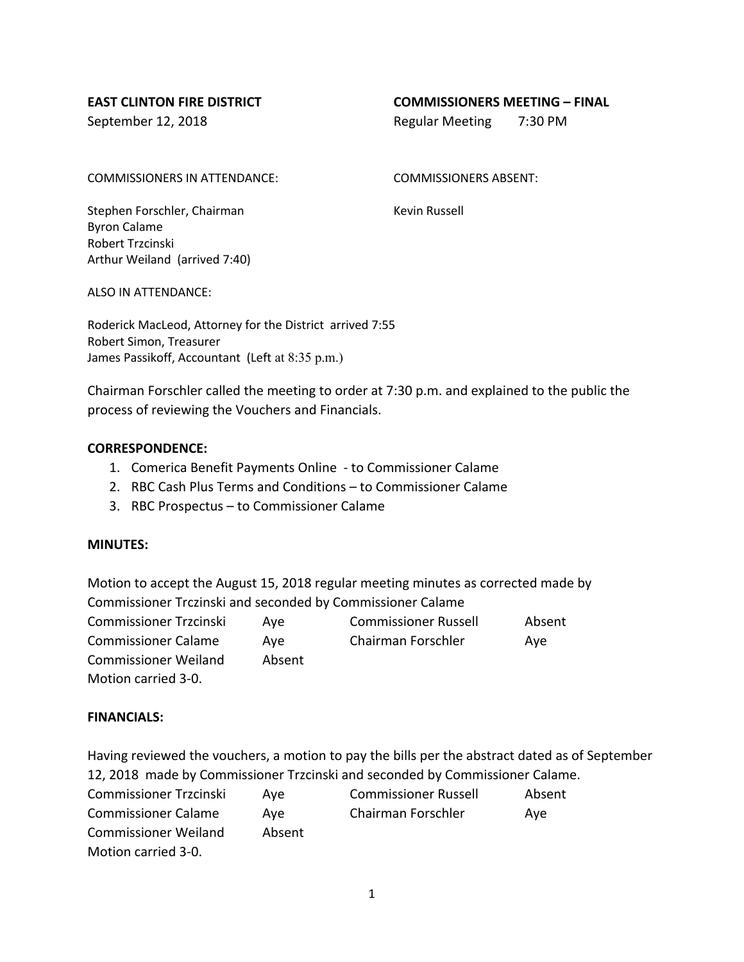#### **EAST CLINTON FIRE DISTRICT COMMISSIONERS MEETING – FINAL**

September 12, 2018 **Regular Meeting 7:30 PM** 

COMMISSIONERS IN ATTENDANCE: COMMISSIONERS ABSENT:

Stephen Forschler, Chairman Kevin Russell Byron Calame Robert Trzcinski Arthur Weiland (arrived 7:40)

ALSO IN ATTENDANCE:

Roderick MacLeod, Attorney for the District arrived 7:55 Robert Simon, Treasurer James Passikoff, Accountant (Left at 8:35 p.m.)

Chairman Forschler called the meeting to order at 7:30 p.m. and explained to the public the process of reviewing the Vouchers and Financials.

#### **CORRESPONDENCE:**

- 1. Comerica Benefit Payments Online to Commissioner Calame
- 2. RBC Cash Plus Terms and Conditions to Commissioner Calame
- 3. RBC Prospectus to Commissioner Calame

# **MINUTES:**

Motion to accept the August 15, 2018 regular meeting minutes as corrected made by Commissioner Trczinski and seconded by Commissioner Calame

| Commissioner Trzcinski      | Ave    | <b>Commissioner Russell</b> | Absent |
|-----------------------------|--------|-----------------------------|--------|
| <b>Commissioner Calame</b>  | Ave    | Chairman Forschler          | Ave    |
| <b>Commissioner Weiland</b> | Absent |                             |        |
| Motion carried 3-0.         |        |                             |        |

# **FINANCIALS:**

Having reviewed the vouchers, a motion to pay the bills per the abstract dated as of September 12, 2018 made by Commissioner Trzcinski and seconded by Commissioner Calame. Commissioner Trzcinski Aye Commissioner Russell Absent Commissioner Calame Aye Chairman Forschler Aye Commissioner Weiland Absent Motion carried 3-0.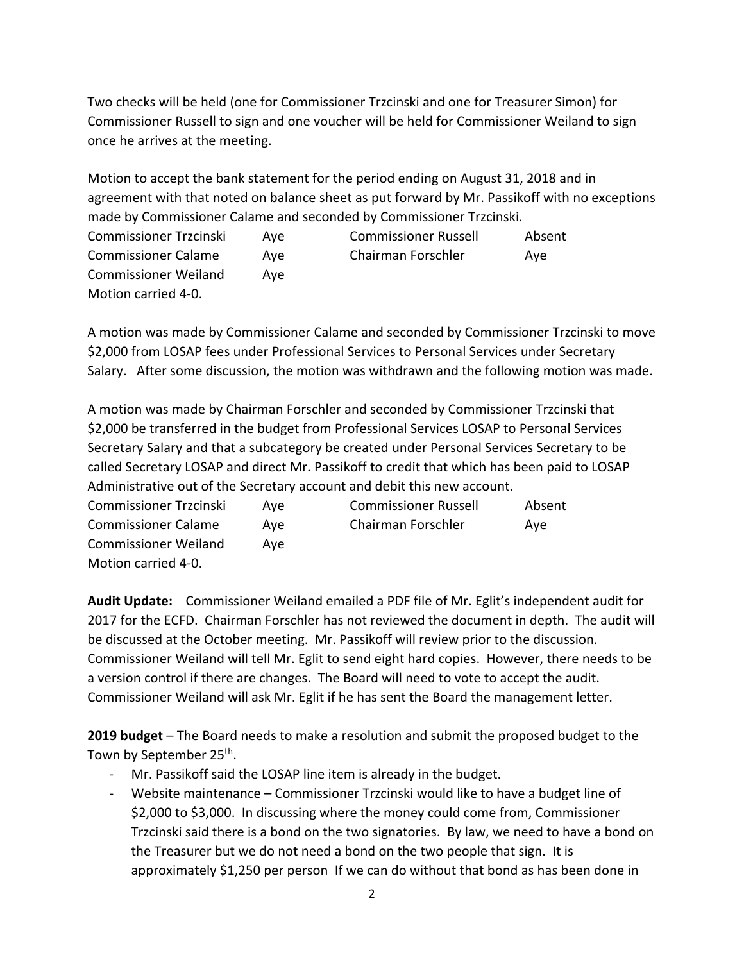Two checks will be held (one for Commissioner Trzcinski and one for Treasurer Simon) for Commissioner Russell to sign and one voucher will be held for Commissioner Weiland to sign once he arrives at the meeting.

Motion to accept the bank statement for the period ending on August 31, 2018 and in agreement with that noted on balance sheet as put forward by Mr. Passikoff with no exceptions made by Commissioner Calame and seconded by Commissioner Trzcinski.

| <b>Commissioner Trzcinski</b> | Ave | <b>Commissioner Russell</b> | Absent |
|-------------------------------|-----|-----------------------------|--------|
| <b>Commissioner Calame</b>    | Ave | Chairman Forschler          | Ave    |
| <b>Commissioner Weiland</b>   | Ave |                             |        |
| Motion carried 4-0.           |     |                             |        |

A motion was made by Commissioner Calame and seconded by Commissioner Trzcinski to move \$2,000 from LOSAP fees under Professional Services to Personal Services under Secretary Salary. After some discussion, the motion was withdrawn and the following motion was made.

A motion was made by Chairman Forschler and seconded by Commissioner Trzcinski that \$2,000 be transferred in the budget from Professional Services LOSAP to Personal Services Secretary Salary and that a subcategory be created under Personal Services Secretary to be called Secretary LOSAP and direct Mr. Passikoff to credit that which has been paid to LOSAP Administrative out of the Secretary account and debit this new account.

| Commissioner Trzcinski      | Ave | <b>Commissioner Russell</b> | Absent |
|-----------------------------|-----|-----------------------------|--------|
| <b>Commissioner Calame</b>  | Ave | Chairman Forschler          | Ave    |
| <b>Commissioner Weiland</b> | Ave |                             |        |
| Motion carried 4-0.         |     |                             |        |

**Audit Update:** Commissioner Weiland emailed a PDF file of Mr. Eglit's independent audit for 2017 for the ECFD. Chairman Forschler has not reviewed the document in depth. The audit will be discussed at the October meeting. Mr. Passikoff will review prior to the discussion. Commissioner Weiland will tell Mr. Eglit to send eight hard copies. However, there needs to be a version control if there are changes. The Board will need to vote to accept the audit. Commissioner Weiland will ask Mr. Eglit if he has sent the Board the management letter.

**2019 budget** – The Board needs to make a resolution and submit the proposed budget to the Town by September 25<sup>th</sup>.

- Mr. Passikoff said the LOSAP line item is already in the budget.
- Website maintenance Commissioner Trzcinski would like to have a budget line of \$2,000 to \$3,000. In discussing where the money could come from, Commissioner Trzcinski said there is a bond on the two signatories. By law, we need to have a bond on the Treasurer but we do not need a bond on the two people that sign. It is approximately \$1,250 per person If we can do without that bond as has been done in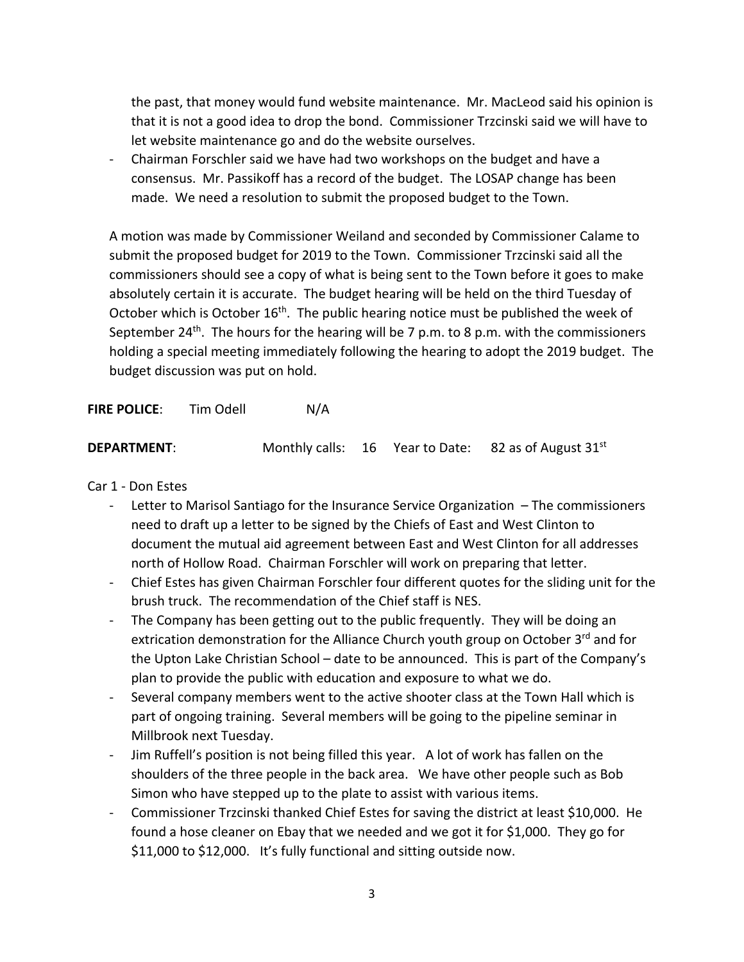the past, that money would fund website maintenance. Mr. MacLeod said his opinion is that it is not a good idea to drop the bond. Commissioner Trzcinski said we will have to let website maintenance go and do the website ourselves.

- Chairman Forschler said we have had two workshops on the budget and have a consensus. Mr. Passikoff has a record of the budget. The LOSAP change has been made. We need a resolution to submit the proposed budget to the Town.

A motion was made by Commissioner Weiland and seconded by Commissioner Calame to submit the proposed budget for 2019 to the Town. Commissioner Trzcinski said all the commissioners should see a copy of what is being sent to the Town before it goes to make absolutely certain it is accurate. The budget hearing will be held on the third Tuesday of October which is October  $16<sup>th</sup>$ . The public hearing notice must be published the week of September 24<sup>th</sup>. The hours for the hearing will be 7 p.m. to 8 p.m. with the commissioners holding a special meeting immediately following the hearing to adopt the 2019 budget. The budget discussion was put on hold.

**FIRE POLICE:** Tim Odell N/A

| <b>DEPARTMENT:</b> |  | Monthly calls: 16 Year to Date: 82 as of August 31 <sup>st</sup> |
|--------------------|--|------------------------------------------------------------------|
|                    |  |                                                                  |

Car 1 - Don Estes

- Letter to Marisol Santiago for the Insurance Service Organization  $-$  The commissioners need to draft up a letter to be signed by the Chiefs of East and West Clinton to document the mutual aid agreement between East and West Clinton for all addresses north of Hollow Road. Chairman Forschler will work on preparing that letter.
- Chief Estes has given Chairman Forschler four different quotes for the sliding unit for the brush truck. The recommendation of the Chief staff is NES.
- The Company has been getting out to the public frequently. They will be doing an extrication demonstration for the Alliance Church youth group on October 3<sup>rd</sup> and for the Upton Lake Christian School – date to be announced. This is part of the Company's plan to provide the public with education and exposure to what we do.
- Several company members went to the active shooter class at the Town Hall which is part of ongoing training. Several members will be going to the pipeline seminar in Millbrook next Tuesday.
- Jim Ruffell's position is not being filled this year. A lot of work has fallen on the shoulders of the three people in the back area. We have other people such as Bob Simon who have stepped up to the plate to assist with various items.
- Commissioner Trzcinski thanked Chief Estes for saving the district at least \$10,000. He found a hose cleaner on Ebay that we needed and we got it for \$1,000. They go for \$11,000 to \$12,000. It's fully functional and sitting outside now.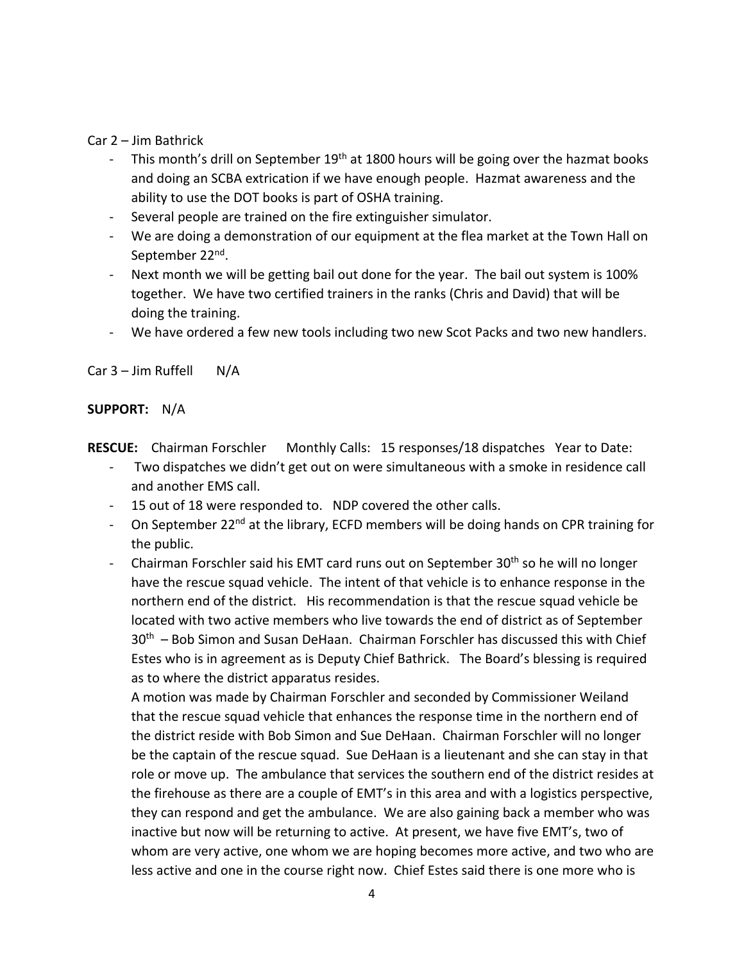Car 2 – Jim Bathrick

- This month's drill on September  $19<sup>th</sup>$  at 1800 hours will be going over the hazmat books and doing an SCBA extrication if we have enough people. Hazmat awareness and the ability to use the DOT books is part of OSHA training.
- Several people are trained on the fire extinguisher simulator.
- We are doing a demonstration of our equipment at the flea market at the Town Hall on September 22<sup>nd</sup>.
- Next month we will be getting bail out done for the year. The bail out system is 100% together. We have two certified trainers in the ranks (Chris and David) that will be doing the training.
- We have ordered a few new tools including two new Scot Packs and two new handlers.

Car  $3 -$  Jim Ruffell N/A

# **SUPPORT:** N/A

**RESCUE:** Chairman Forschler Monthly Calls: 15 responses/18 dispatches Year to Date:

- Two dispatches we didn't get out on were simultaneous with a smoke in residence call and another EMS call.
- 15 out of 18 were responded to. NDP covered the other calls.
- On September 22<sup>nd</sup> at the library, ECFD members will be doing hands on CPR training for the public.
- Chairman Forschler said his EMT card runs out on September  $30<sup>th</sup>$  so he will no longer have the rescue squad vehicle. The intent of that vehicle is to enhance response in the northern end of the district. His recommendation is that the rescue squad vehicle be located with two active members who live towards the end of district as of September 30<sup>th</sup> – Bob Simon and Susan DeHaan. Chairman Forschler has discussed this with Chief Estes who is in agreement as is Deputy Chief Bathrick. The Board's blessing is required as to where the district apparatus resides.

A motion was made by Chairman Forschler and seconded by Commissioner Weiland that the rescue squad vehicle that enhances the response time in the northern end of the district reside with Bob Simon and Sue DeHaan. Chairman Forschler will no longer be the captain of the rescue squad. Sue DeHaan is a lieutenant and she can stay in that role or move up. The ambulance that services the southern end of the district resides at the firehouse as there are a couple of EMT's in this area and with a logistics perspective, they can respond and get the ambulance. We are also gaining back a member who was inactive but now will be returning to active. At present, we have five EMT's, two of whom are very active, one whom we are hoping becomes more active, and two who are less active and one in the course right now. Chief Estes said there is one more who is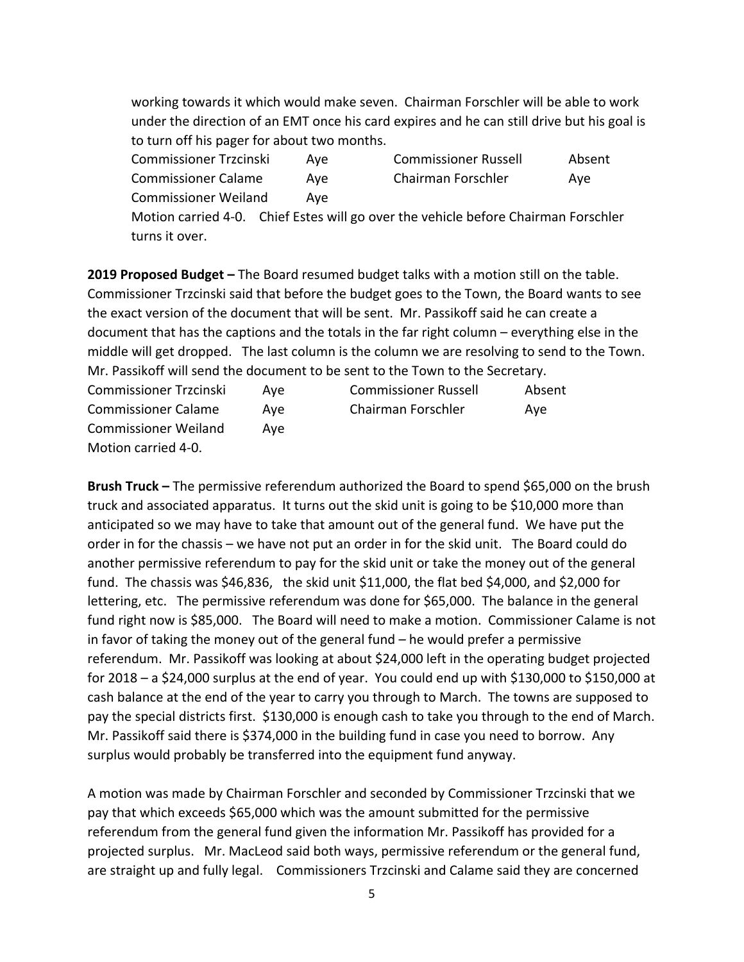working towards it which would make seven. Chairman Forschler will be able to work under the direction of an EMT once his card expires and he can still drive but his goal is to turn off his pager for about two months.

| <b>Commissioner Trzcinski</b> | Ave | <b>Commissioner Russell</b> | Absent |
|-------------------------------|-----|-----------------------------|--------|
| <b>Commissioner Calame</b>    | Ave | Chairman Forschler          | Ave    |
| <b>Commissioner Weiland</b>   | Ave |                             |        |

Motion carried 4-0. Chief Estes will go over the vehicle before Chairman Forschler turns it over.

**2019 Proposed Budget –** The Board resumed budget talks with a motion still on the table. Commissioner Trzcinski said that before the budget goes to the Town, the Board wants to see the exact version of the document that will be sent. Mr. Passikoff said he can create a document that has the captions and the totals in the far right column – everything else in the middle will get dropped. The last column is the column we are resolving to send to the Town. Mr. Passikoff will send the document to be sent to the Town to the Secretary.

| <b>Commissioner Trzcinski</b> | Ave | <b>Commissioner Russell</b> | Absent |
|-------------------------------|-----|-----------------------------|--------|
| <b>Commissioner Calame</b>    | Ave | Chairman Forschler          | Ave    |
| <b>Commissioner Weiland</b>   | Ave |                             |        |
| Motion carried 4-0.           |     |                             |        |

**Brush Truck –** The permissive referendum authorized the Board to spend \$65,000 on the brush truck and associated apparatus. It turns out the skid unit is going to be \$10,000 more than anticipated so we may have to take that amount out of the general fund. We have put the order in for the chassis – we have not put an order in for the skid unit. The Board could do another permissive referendum to pay for the skid unit or take the money out of the general fund. The chassis was \$46,836, the skid unit \$11,000, the flat bed \$4,000, and \$2,000 for lettering, etc. The permissive referendum was done for \$65,000. The balance in the general fund right now is \$85,000. The Board will need to make a motion. Commissioner Calame is not in favor of taking the money out of the general fund – he would prefer a permissive referendum. Mr. Passikoff was looking at about \$24,000 left in the operating budget projected for 2018 – a \$24,000 surplus at the end of year. You could end up with \$130,000 to \$150,000 at cash balance at the end of the year to carry you through to March. The towns are supposed to pay the special districts first. \$130,000 is enough cash to take you through to the end of March. Mr. Passikoff said there is \$374,000 in the building fund in case you need to borrow. Any surplus would probably be transferred into the equipment fund anyway.

A motion was made by Chairman Forschler and seconded by Commissioner Trzcinski that we pay that which exceeds \$65,000 which was the amount submitted for the permissive referendum from the general fund given the information Mr. Passikoff has provided for a projected surplus. Mr. MacLeod said both ways, permissive referendum or the general fund, are straight up and fully legal. Commissioners Trzcinski and Calame said they are concerned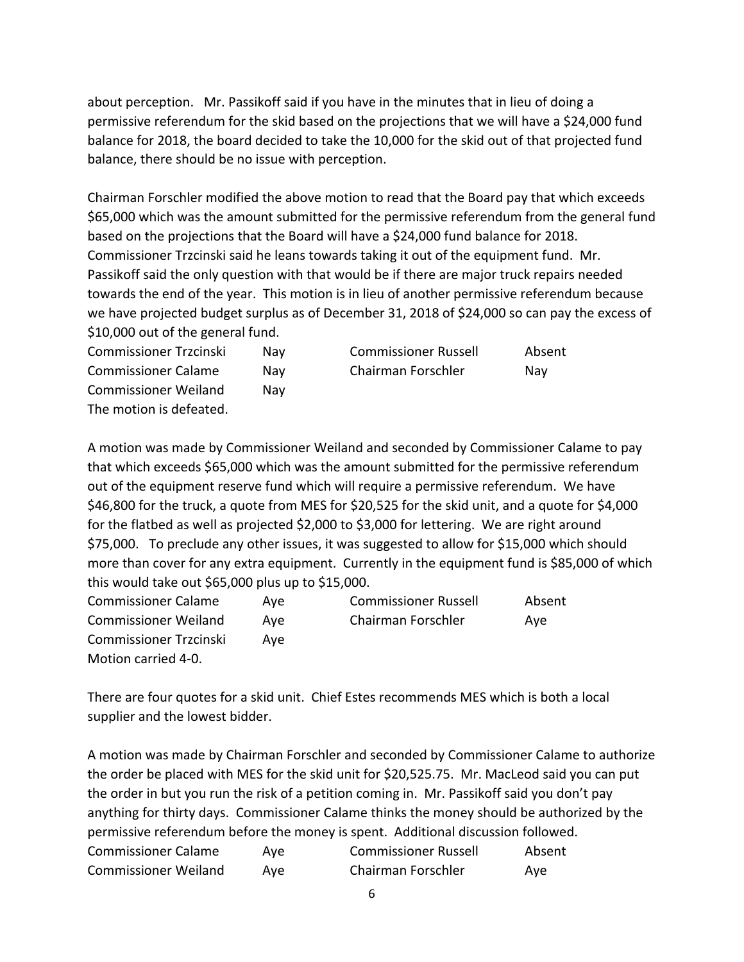about perception. Mr. Passikoff said if you have in the minutes that in lieu of doing a permissive referendum for the skid based on the projections that we will have a \$24,000 fund balance for 2018, the board decided to take the 10,000 for the skid out of that projected fund balance, there should be no issue with perception.

Chairman Forschler modified the above motion to read that the Board pay that which exceeds \$65,000 which was the amount submitted for the permissive referendum from the general fund based on the projections that the Board will have a \$24,000 fund balance for 2018. Commissioner Trzcinski said he leans towards taking it out of the equipment fund. Mr. Passikoff said the only question with that would be if there are major truck repairs needed towards the end of the year. This motion is in lieu of another permissive referendum because we have projected budget surplus as of December 31, 2018 of \$24,000 so can pay the excess of \$10,000 out of the general fund.

| Commissioner Trzcinski      | Nav  | <b>Commissioner Russell</b> | Absent |
|-----------------------------|------|-----------------------------|--------|
| <b>Commissioner Calame</b>  | Nav  | Chairman Forschler          | Nav    |
| <b>Commissioner Weiland</b> | Nav. |                             |        |
| The motion is defeated.     |      |                             |        |

A motion was made by Commissioner Weiland and seconded by Commissioner Calame to pay that which exceeds \$65,000 which was the amount submitted for the permissive referendum out of the equipment reserve fund which will require a permissive referendum. We have \$46,800 for the truck, a quote from MES for \$20,525 for the skid unit, and a quote for \$4,000 for the flatbed as well as projected \$2,000 to \$3,000 for lettering. We are right around \$75,000. To preclude any other issues, it was suggested to allow for \$15,000 which should more than cover for any extra equipment. Currently in the equipment fund is \$85,000 of which this would take out \$65,000 plus up to \$15,000.

| <b>Commissioner Calame</b>    | Ave | <b>Commissioner Russell</b> | Absent |
|-------------------------------|-----|-----------------------------|--------|
| <b>Commissioner Weiland</b>   | Ave | Chairman Forschler          | Ave    |
| <b>Commissioner Trzcinski</b> | Ave |                             |        |
| Motion carried 4-0.           |     |                             |        |

There are four quotes for a skid unit. Chief Estes recommends MES which is both a local supplier and the lowest bidder.

A motion was made by Chairman Forschler and seconded by Commissioner Calame to authorize the order be placed with MES for the skid unit for \$20,525.75. Mr. MacLeod said you can put the order in but you run the risk of a petition coming in. Mr. Passikoff said you don't pay anything for thirty days. Commissioner Calame thinks the money should be authorized by the permissive referendum before the money is spent. Additional discussion followed. Commissioner Calame Aye Commissioner Russell Absent Commissioner Weiland Aye Chairman Forschler Aye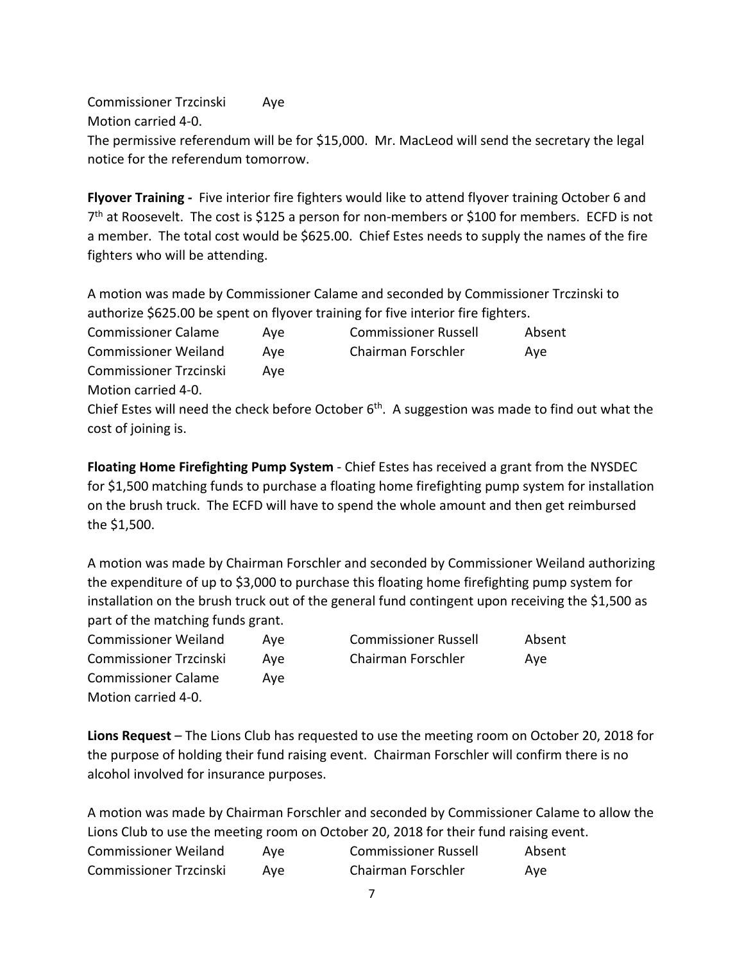Commissioner Trzcinski Aye Motion carried 4-0. The permissive referendum will be for \$15,000. Mr. MacLeod will send the secretary the legal notice for the referendum tomorrow.

**Flyover Training -** Five interior fire fighters would like to attend flyover training October 6 and  $7<sup>th</sup>$  at Roosevelt. The cost is \$125 a person for non-members or \$100 for members. ECFD is not a member. The total cost would be \$625.00. Chief Estes needs to supply the names of the fire fighters who will be attending.

A motion was made by Commissioner Calame and seconded by Commissioner Trczinski to authorize \$625.00 be spent on flyover training for five interior fire fighters.

Commissioner Calame Aye Commissioner Russell Absent Commissioner Weiland Aye Chairman Forschler Aye Commissioner Trzcinski Aye Motion carried 4-0. Chief Estes will need the check before October  $6<sup>th</sup>$ . A suggestion was made to find out what the cost of joining is.

**Floating Home Firefighting Pump System** - Chief Estes has received a grant from the NYSDEC for \$1,500 matching funds to purchase a floating home firefighting pump system for installation on the brush truck. The ECFD will have to spend the whole amount and then get reimbursed the \$1,500.

A motion was made by Chairman Forschler and seconded by Commissioner Weiland authorizing the expenditure of up to \$3,000 to purchase this floating home firefighting pump system for installation on the brush truck out of the general fund contingent upon receiving the \$1,500 as part of the matching funds grant.

| <b>Commissioner Weiland</b> | Ave | <b>Commissioner Russell</b> | Absent |
|-----------------------------|-----|-----------------------------|--------|
| Commissioner Trzcinski      | Ave | Chairman Forschler          | Ave    |
| <b>Commissioner Calame</b>  | Ave |                             |        |
| Motion carried 4-0.         |     |                             |        |

**Lions Request** – The Lions Club has requested to use the meeting room on October 20, 2018 for the purpose of holding their fund raising event. Chairman Forschler will confirm there is no alcohol involved for insurance purposes.

A motion was made by Chairman Forschler and seconded by Commissioner Calame to allow the Lions Club to use the meeting room on October 20, 2018 for their fund raising event. Commissioner Weiland Aye Commissioner Russell Absent Commissioner Trzcinski Aye Chairman Forschler Aye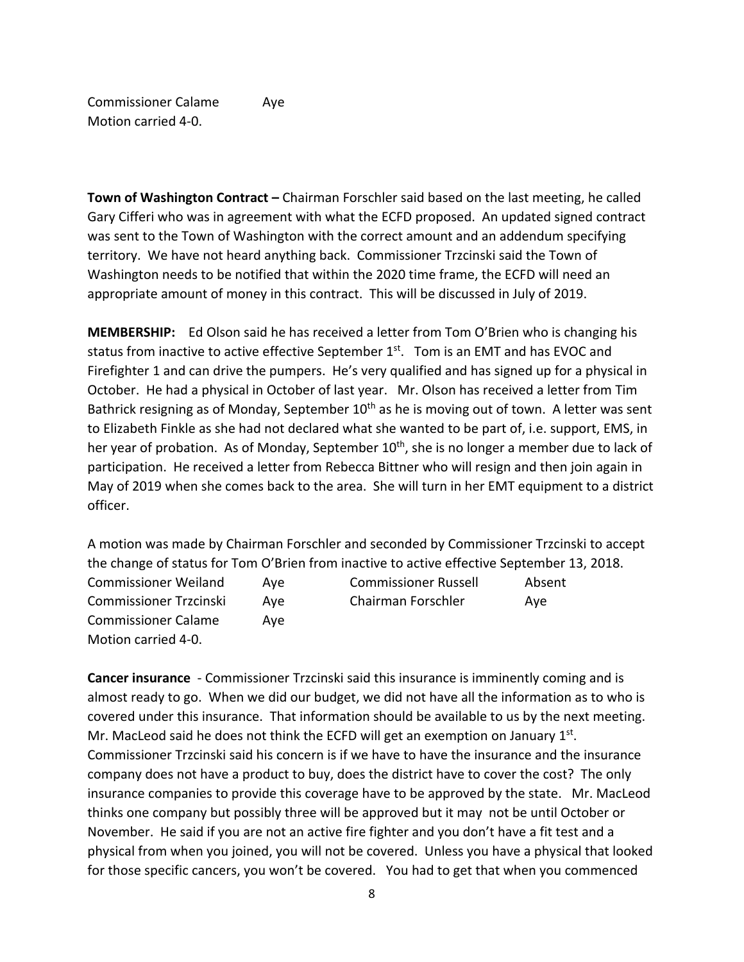Commissioner Calame Aye Motion carried 4-0.

**Town of Washington Contract –** Chairman Forschler said based on the last meeting, he called Gary Cifferi who was in agreement with what the ECFD proposed. An updated signed contract was sent to the Town of Washington with the correct amount and an addendum specifying territory. We have not heard anything back. Commissioner Trzcinski said the Town of Washington needs to be notified that within the 2020 time frame, the ECFD will need an appropriate amount of money in this contract. This will be discussed in July of 2019.

**MEMBERSHIP:** Ed Olson said he has received a letter from Tom O'Brien who is changing his status from inactive to active effective September  $1<sup>st</sup>$ . Tom is an EMT and has EVOC and Firefighter 1 and can drive the pumpers. He's very qualified and has signed up for a physical in October. He had a physical in October of last year. Mr. Olson has received a letter from Tim Bathrick resigning as of Monday, September  $10<sup>th</sup>$  as he is moving out of town. A letter was sent to Elizabeth Finkle as she had not declared what she wanted to be part of, i.e. support, EMS, in her year of probation. As of Monday, September 10<sup>th</sup>, she is no longer a member due to lack of participation. He received a letter from Rebecca Bittner who will resign and then join again in May of 2019 when she comes back to the area. She will turn in her EMT equipment to a district officer.

A motion was made by Chairman Forschler and seconded by Commissioner Trzcinski to accept the change of status for Tom O'Brien from inactive to active effective September 13, 2018. Commissioner Weiland Aye Commissioner Russell Absent Commissioner Trzcinski Aye Chairman Forschler Aye Commissioner Calame Aye Motion carried 4-0.

**Cancer insurance** - Commissioner Trzcinski said this insurance is imminently coming and is almost ready to go. When we did our budget, we did not have all the information as to who is covered under this insurance. That information should be available to us by the next meeting. Mr. MacLeod said he does not think the ECFD will get an exemption on January 1st. Commissioner Trzcinski said his concern is if we have to have the insurance and the insurance company does not have a product to buy, does the district have to cover the cost? The only insurance companies to provide this coverage have to be approved by the state. Mr. MacLeod thinks one company but possibly three will be approved but it may not be until October or November. He said if you are not an active fire fighter and you don't have a fit test and a physical from when you joined, you will not be covered. Unless you have a physical that looked for those specific cancers, you won't be covered. You had to get that when you commenced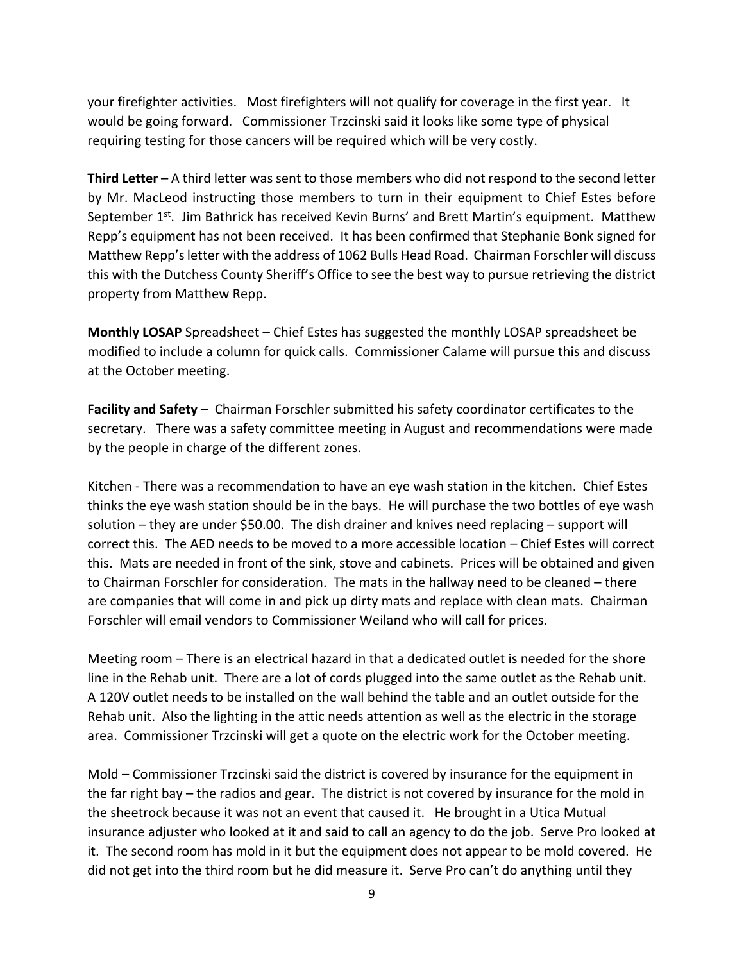your firefighter activities. Most firefighters will not qualify for coverage in the first year. It would be going forward. Commissioner Trzcinski said it looks like some type of physical requiring testing for those cancers will be required which will be very costly.

**Third Letter** – A third letter was sent to those members who did not respond to the second letter by Mr. MacLeod instructing those members to turn in their equipment to Chief Estes before September 1<sup>st</sup>. Jim Bathrick has received Kevin Burns' and Brett Martin's equipment. Matthew Repp's equipment has not been received. It has been confirmed that Stephanie Bonk signed for Matthew Repp's letter with the address of 1062 Bulls Head Road. Chairman Forschler will discuss this with the Dutchess County Sheriff's Office to see the best way to pursue retrieving the district property from Matthew Repp.

**Monthly LOSAP** Spreadsheet – Chief Estes has suggested the monthly LOSAP spreadsheet be modified to include a column for quick calls. Commissioner Calame will pursue this and discuss at the October meeting.

**Facility and Safety** – Chairman Forschler submitted his safety coordinator certificates to the secretary. There was a safety committee meeting in August and recommendations were made by the people in charge of the different zones.

Kitchen - There was a recommendation to have an eye wash station in the kitchen. Chief Estes thinks the eye wash station should be in the bays. He will purchase the two bottles of eye wash solution – they are under \$50.00. The dish drainer and knives need replacing – support will correct this. The AED needs to be moved to a more accessible location – Chief Estes will correct this. Mats are needed in front of the sink, stove and cabinets. Prices will be obtained and given to Chairman Forschler for consideration. The mats in the hallway need to be cleaned – there are companies that will come in and pick up dirty mats and replace with clean mats. Chairman Forschler will email vendors to Commissioner Weiland who will call for prices.

Meeting room – There is an electrical hazard in that a dedicated outlet is needed for the shore line in the Rehab unit. There are a lot of cords plugged into the same outlet as the Rehab unit. A 120V outlet needs to be installed on the wall behind the table and an outlet outside for the Rehab unit. Also the lighting in the attic needs attention as well as the electric in the storage area. Commissioner Trzcinski will get a quote on the electric work for the October meeting.

Mold – Commissioner Trzcinski said the district is covered by insurance for the equipment in the far right bay – the radios and gear. The district is not covered by insurance for the mold in the sheetrock because it was not an event that caused it. He brought in a Utica Mutual insurance adjuster who looked at it and said to call an agency to do the job. Serve Pro looked at it. The second room has mold in it but the equipment does not appear to be mold covered. He did not get into the third room but he did measure it. Serve Pro can't do anything until they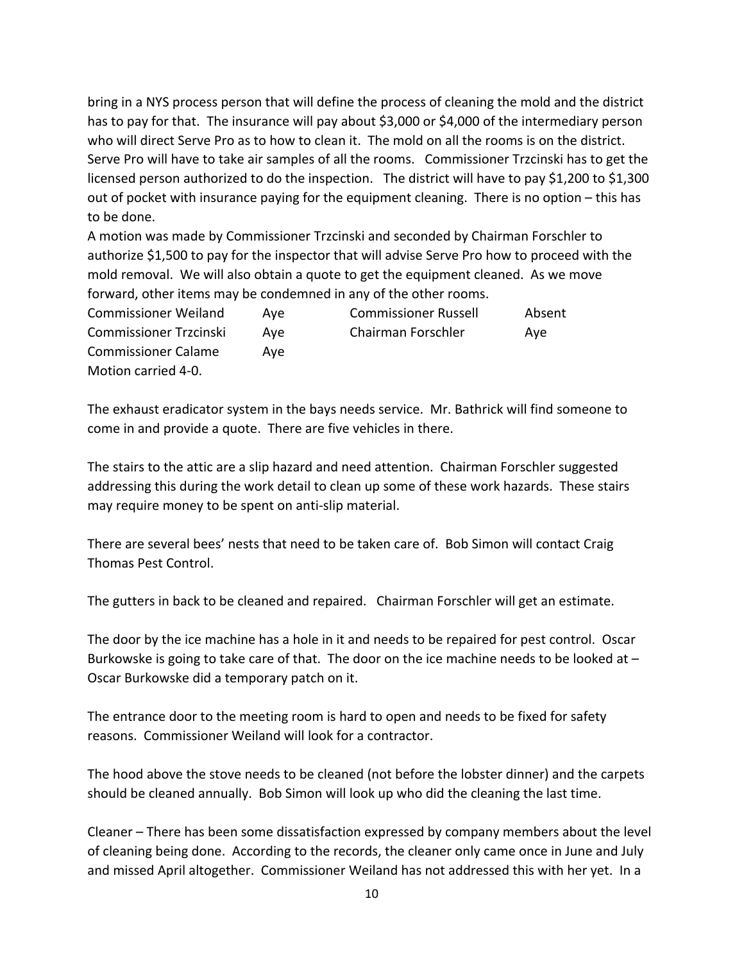bring in a NYS process person that will define the process of cleaning the mold and the district has to pay for that. The insurance will pay about \$3,000 or \$4,000 of the intermediary person who will direct Serve Pro as to how to clean it. The mold on all the rooms is on the district. Serve Pro will have to take air samples of all the rooms. Commissioner Trzcinski has to get the licensed person authorized to do the inspection. The district will have to pay \$1,200 to \$1,300 out of pocket with insurance paying for the equipment cleaning. There is no option – this has to be done.

A motion was made by Commissioner Trzcinski and seconded by Chairman Forschler to authorize \$1,500 to pay for the inspector that will advise Serve Pro how to proceed with the mold removal. We will also obtain a quote to get the equipment cleaned. As we move forward, other items may be condemned in any of the other rooms.

Commissioner Weiland Aye Commissioner Russell Absent Commissioner Trzcinski Aye Chairman Forschler Aye Commissioner Calame Aye Motion carried 4-0.

The exhaust eradicator system in the bays needs service. Mr. Bathrick will find someone to come in and provide a quote. There are five vehicles in there.

The stairs to the attic are a slip hazard and need attention. Chairman Forschler suggested addressing this during the work detail to clean up some of these work hazards. These stairs may require money to be spent on anti-slip material.

There are several bees' nests that need to be taken care of. Bob Simon will contact Craig Thomas Pest Control.

The gutters in back to be cleaned and repaired. Chairman Forschler will get an estimate.

The door by the ice machine has a hole in it and needs to be repaired for pest control. Oscar Burkowske is going to take care of that. The door on the ice machine needs to be looked at – Oscar Burkowske did a temporary patch on it.

The entrance door to the meeting room is hard to open and needs to be fixed for safety reasons. Commissioner Weiland will look for a contractor.

The hood above the stove needs to be cleaned (not before the lobster dinner) and the carpets should be cleaned annually. Bob Simon will look up who did the cleaning the last time.

Cleaner – There has been some dissatisfaction expressed by company members about the level of cleaning being done. According to the records, the cleaner only came once in June and July and missed April altogether. Commissioner Weiland has not addressed this with her yet. In a